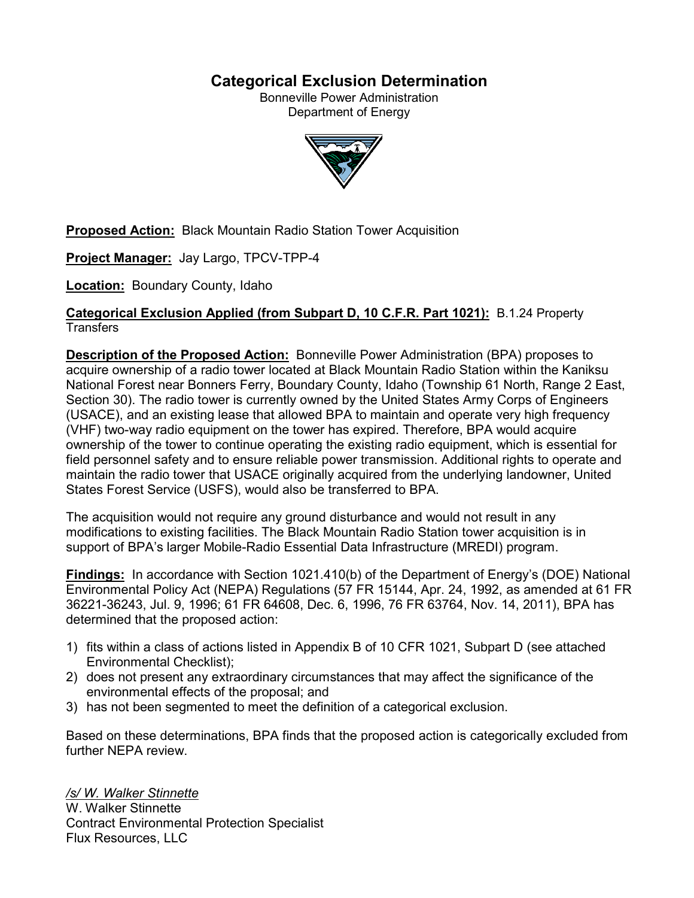# **Categorical Exclusion Determination**

Bonneville Power Administration Department of Energy



**Proposed Action:** Black Mountain Radio Station Tower Acquisition

**Project Manager:** Jay Largo, TPCV-TPP-4

**Location:** Boundary County, Idaho

# **Categorical Exclusion Applied (from Subpart D, 10 C.F.R. Part 1021):** B.1.24 Property **Transfers**

**Description of the Proposed Action:** Bonneville Power Administration (BPA) proposes to acquire ownership of a radio tower located at Black Mountain Radio Station within the Kaniksu National Forest near Bonners Ferry, Boundary County, Idaho (Township 61 North, Range 2 East, Section 30). The radio tower is currently owned by the United States Army Corps of Engineers (USACE), and an existing lease that allowed BPA to maintain and operate very high frequency (VHF) two-way radio equipment on the tower has expired. Therefore, BPA would acquire ownership of the tower to continue operating the existing radio equipment, which is essential for field personnel safety and to ensure reliable power transmission. Additional rights to operate and maintain the radio tower that USACE originally acquired from the underlying landowner, United States Forest Service (USFS), would also be transferred to BPA.

The acquisition would not require any ground disturbance and would not result in any modifications to existing facilities. The Black Mountain Radio Station tower acquisition is in support of BPA's larger Mobile-Radio Essential Data Infrastructure (MREDI) program.

**Findings:** In accordance with Section 1021.410(b) of the Department of Energy's (DOE) National Environmental Policy Act (NEPA) Regulations (57 FR 15144, Apr. 24, 1992, as amended at 61 FR 36221-36243, Jul. 9, 1996; 61 FR 64608, Dec. 6, 1996, 76 FR 63764, Nov. 14, 2011), BPA has determined that the proposed action:

- 1) fits within a class of actions listed in Appendix B of 10 CFR 1021, Subpart D (see attached Environmental Checklist);
- 2) does not present any extraordinary circumstances that may affect the significance of the environmental effects of the proposal; and
- 3) has not been segmented to meet the definition of a categorical exclusion.

Based on these determinations, BPA finds that the proposed action is categorically excluded from further NEPA review.

*/s/ W. Walker Stinnette* W. Walker Stinnette Contract Environmental Protection Specialist Flux Resources, LLC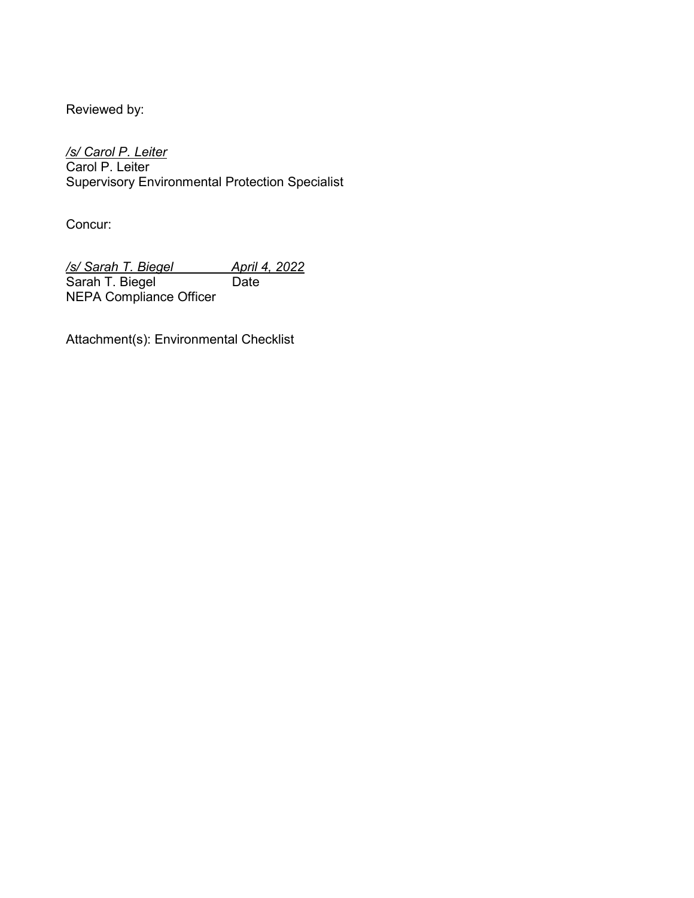Reviewed by:

*/s/ Carol P. Leiter* Carol P. Leiter Supervisory Environmental Protection Specialist

Concur:

*/s/ Sarah T. Biegel April 4, 2022* Sarah T. Biegel Date NEPA Compliance Officer

Attachment(s): Environmental Checklist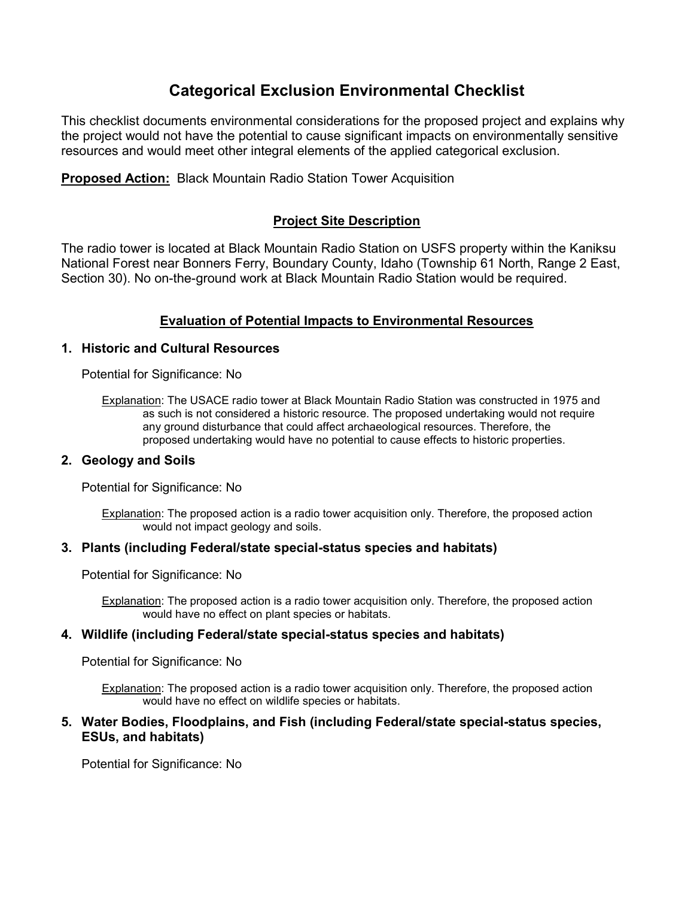# **Categorical Exclusion Environmental Checklist**

This checklist documents environmental considerations for the proposed project and explains why the project would not have the potential to cause significant impacts on environmentally sensitive resources and would meet other integral elements of the applied categorical exclusion.

**Proposed Action:** Black Mountain Radio Station Tower Acquisition

# **Project Site Description**

The radio tower is located at Black Mountain Radio Station on USFS property within the Kaniksu National Forest near Bonners Ferry, Boundary County, Idaho (Township 61 North, Range 2 East, Section 30). No on-the-ground work at Black Mountain Radio Station would be required.

# **Evaluation of Potential Impacts to Environmental Resources**

## **1. Historic and Cultural Resources**

Potential for Significance: No

Explanation: The USACE radio tower at Black Mountain Radio Station was constructed in 1975 and as such is not considered a historic resource. The proposed undertaking would not require any ground disturbance that could affect archaeological resources. Therefore, the proposed undertaking would have no potential to cause effects to historic properties.

## **2. Geology and Soils**

Potential for Significance: No

Explanation: The proposed action is a radio tower acquisition only. Therefore, the proposed action would not impact geology and soils.

## **3. Plants (including Federal/state special-status species and habitats)**

Potential for Significance: No

Explanation: The proposed action is a radio tower acquisition only. Therefore, the proposed action would have no effect on plant species or habitats.

#### **4. Wildlife (including Federal/state special-status species and habitats)**

Potential for Significance: No

Explanation: The proposed action is a radio tower acquisition only. Therefore, the proposed action would have no effect on wildlife species or habitats.

### **5. Water Bodies, Floodplains, and Fish (including Federal/state special-status species, ESUs, and habitats)**

Potential for Significance: No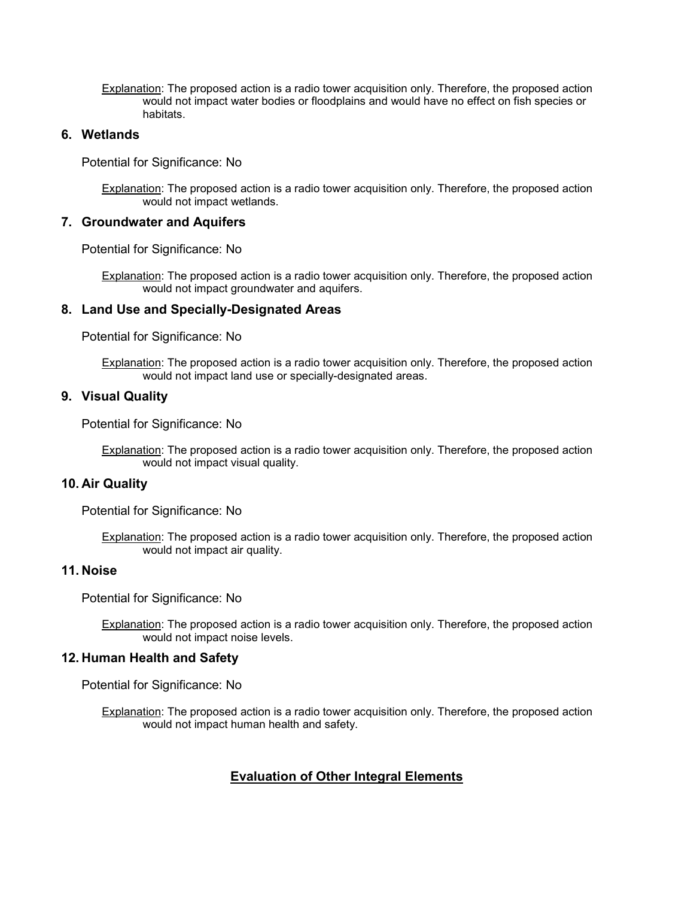Explanation: The proposed action is a radio tower acquisition only. Therefore, the proposed action would not impact water bodies or floodplains and would have no effect on fish species or habitats.

### **6. Wetlands**

Potential for Significance: No

Explanation: The proposed action is a radio tower acquisition only. Therefore, the proposed action would not impact wetlands.

#### **7. Groundwater and Aquifers**

Potential for Significance: No

Explanation: The proposed action is a radio tower acquisition only. Therefore, the proposed action would not impact groundwater and aquifers.

#### **8. Land Use and Specially-Designated Areas**

Potential for Significance: No

Explanation: The proposed action is a radio tower acquisition only. Therefore, the proposed action would not impact land use or specially-designated areas.

#### **9. Visual Quality**

Potential for Significance: No

Explanation: The proposed action is a radio tower acquisition only. Therefore, the proposed action would not impact visual quality.

## **10. Air Quality**

Potential for Significance: No

Explanation: The proposed action is a radio tower acquisition only. Therefore, the proposed action would not impact air quality.

#### **11. Noise**

Potential for Significance: No

Explanation: The proposed action is a radio tower acquisition only. Therefore, the proposed action would not impact noise levels.

#### **12. Human Health and Safety**

Potential for Significance: No

Explanation: The proposed action is a radio tower acquisition only. Therefore, the proposed action would not impact human health and safety.

## **Evaluation of Other Integral Elements**